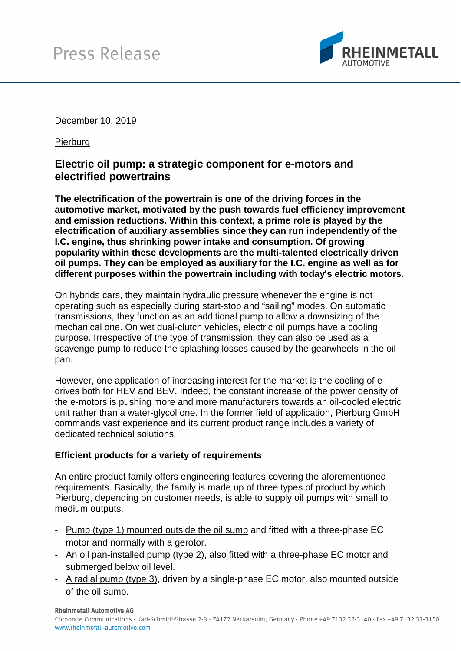

December 10, 2019

Pierburg

## **Electric oil pump: a strategic component for e-motors and electrified powertrains**

**The electrification of the powertrain is one of the driving forces in the automotive market, motivated by the push towards fuel efficiency improvement and emission reductions. Within this context, a prime role is played by the electrification of auxiliary assemblies since they can run independently of the I.C. engine, thus shrinking power intake and consumption. Of growing popularity within these developments are the multi-talented electrically driven oil pumps. They can be employed as auxiliary for the I.C. engine as well as for different purposes within the powertrain including with today's electric motors.** 

On hybrids cars, they maintain hydraulic pressure whenever the engine is not operating such as especially during start-stop and "sailing" modes. On automatic transmissions, they function as an additional pump to allow a downsizing of the mechanical one. On wet dual-clutch vehicles, electric oil pumps have a cooling purpose. Irrespective of the type of transmission, they can also be used as a scavenge pump to reduce the splashing losses caused by the gearwheels in the oil pan.

However, one application of increasing interest for the market is the cooling of edrives both for HEV and BEV. Indeed, the constant increase of the power density of the e-motors is pushing more and more manufacturers towards an oil-cooled electric unit rather than a water-glycol one. In the former field of application, Pierburg GmbH commands vast experience and its current product range includes a variety of dedicated technical solutions.

## **Efficient products for a variety of requirements**

An entire product family offers engineering features covering the aforementioned requirements. Basically, the family is made up of three types of product by which Pierburg, depending on customer needs, is able to supply oil pumps with small to medium outputs.

- Pump (type 1) mounted outside the oil sump and fitted with a three-phase EC motor and normally with a gerotor.
- An oil pan-installed pump (type 2), also fitted with a three-phase EC motor and submerged below oil level.
- A radial pump (type 3), driven by a single-phase EC motor, also mounted outside of the oil sump.